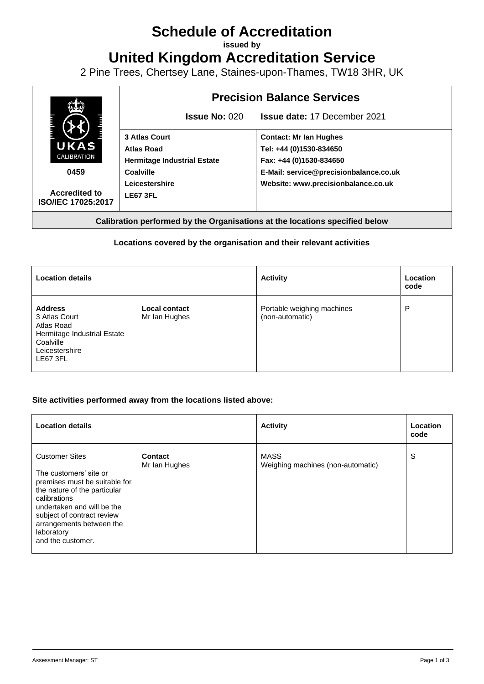# **Schedule of Accreditation**

**issued by**

**United Kingdom Accreditation Service**

2 Pine Trees, Chertsey Lane, Staines-upon-Thames, TW18 3HR, UK



**Calibration performed by the Organisations at the locations specified below**

## **Locations covered by the organisation and their relevant activities**

| <b>Location details</b>                                                                                                 |                                       | <b>Activity</b>                               | Location<br>code |
|-------------------------------------------------------------------------------------------------------------------------|---------------------------------------|-----------------------------------------------|------------------|
| <b>Address</b><br>3 Atlas Court<br>Atlas Road<br>Hermitage Industrial Estate<br>Coalville<br>Leicestershire<br>LE67 3FL | <b>Local contact</b><br>Mr Ian Hughes | Portable weighing machines<br>(non-automatic) | P                |

### **Site activities performed away from the locations listed above:**

| <b>Location details</b>                                                                                                                                                                                                                                     |                                 | <b>Activity</b>                                  | Location<br>code |
|-------------------------------------------------------------------------------------------------------------------------------------------------------------------------------------------------------------------------------------------------------------|---------------------------------|--------------------------------------------------|------------------|
| <b>Customer Sites</b><br>The customers' site or<br>premises must be suitable for<br>the nature of the particular<br>calibrations<br>undertaken and will be the<br>subject of contract review<br>arrangements between the<br>laboratory<br>and the customer. | <b>Contact</b><br>Mr Ian Hughes | <b>MASS</b><br>Weighing machines (non-automatic) | S                |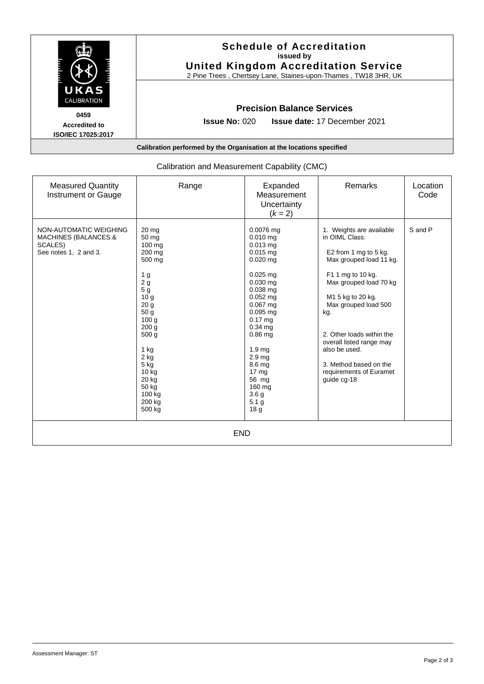|                                                                      | <b>Schedule of Accreditation</b><br>issued by<br><b>United Kingdom Accreditation Service</b><br>2 Pine Trees, Chertsey Lane, Staines-upon-Thames, TW18 3HR, UK |  |  |  |  |
|----------------------------------------------------------------------|----------------------------------------------------------------------------------------------------------------------------------------------------------------|--|--|--|--|
| UKAS<br>CALIBRATION                                                  | <b>Precision Balance Services</b>                                                                                                                              |  |  |  |  |
| 0459                                                                 | <b>Issue No: <math>020</math></b><br><b>Issue date: 17 December 2021</b>                                                                                       |  |  |  |  |
| <b>Accredited to</b><br>ISO/IEC 17025:2017                           |                                                                                                                                                                |  |  |  |  |
| Calibration performed by the Organisation at the locations specified |                                                                                                                                                                |  |  |  |  |

| Calibration and Measurement Capability (CMC)                                                  |                                                                                                                                                                                                                                                                                                                |                                                                                                                                                                                                                                                                                                                                                      |                                                                                                                                                                                                                                                                                                                                                 |                  |  |  |  |
|-----------------------------------------------------------------------------------------------|----------------------------------------------------------------------------------------------------------------------------------------------------------------------------------------------------------------------------------------------------------------------------------------------------------------|------------------------------------------------------------------------------------------------------------------------------------------------------------------------------------------------------------------------------------------------------------------------------------------------------------------------------------------------------|-------------------------------------------------------------------------------------------------------------------------------------------------------------------------------------------------------------------------------------------------------------------------------------------------------------------------------------------------|------------------|--|--|--|
| <b>Measured Quantity</b><br>Instrument or Gauge                                               | Range                                                                                                                                                                                                                                                                                                          | Expanded<br>Measurement<br>Uncertainty<br>$(k = 2)$                                                                                                                                                                                                                                                                                                  | Remarks                                                                                                                                                                                                                                                                                                                                         | Location<br>Code |  |  |  |
| NON-AUTOMATIC WEIGHING<br><b>MACHINES (BALANCES &amp;</b><br>SCALES)<br>See notes 1, 2 and 3. | $20 \text{ mg}$<br>50 <sub>mg</sub><br>100 mg<br>200 mg<br>500 mg<br>1 <sub>g</sub><br>$2\overline{g}$<br>5 <sub>g</sub><br>10 <sub>g</sub><br>20 <sub>g</sub><br>50 g<br>100 <sub>g</sub><br>200 g<br>500 <sub>g</sub><br>$1$ kg<br>2 kg<br>$5$ kg<br>$10$ kg<br>20 kg<br>50 kg<br>100 kg<br>200 kg<br>500 kg | $0.0076$ mg<br>$0.010$ mg<br>$0.013$ mg<br>$0.015$ mg<br>$0.020$ mg<br>$0.025$ mg<br>$0.030$ mg<br>$0.038$ mg<br>$0.052$ mg<br>$0.067$ mg<br>$0.095$ mg<br>$0.17$ mg<br>$0.34$ ma<br>$0.86$ ma<br>1.9 <sub>mg</sub><br>2.9 <sub>ma</sub><br>8.6 mg<br>17 <sub>mg</sub><br>56 mg<br>160 mg<br>3.6 <sub>g</sub><br>5.1 <sub>g</sub><br>18 <sub>g</sub> | 1. Weights are available<br>in OIML Class:<br>E2 from 1 mg to 5 kg.<br>Max grouped load 11 kg.<br>F1 1 mg to 10 kg.<br>Max grouped load 70 kg<br>M1 5 kg to 20 kg.<br>Max grouped load 500<br>kg.<br>2. Other loads within the<br>overall listed range may<br>also be used.<br>3. Method based on the<br>requirements of Euramet<br>guide cg-18 | S and P          |  |  |  |
| <b>END</b>                                                                                    |                                                                                                                                                                                                                                                                                                                |                                                                                                                                                                                                                                                                                                                                                      |                                                                                                                                                                                                                                                                                                                                                 |                  |  |  |  |

## Calibration and Measurement Capability (CMC)